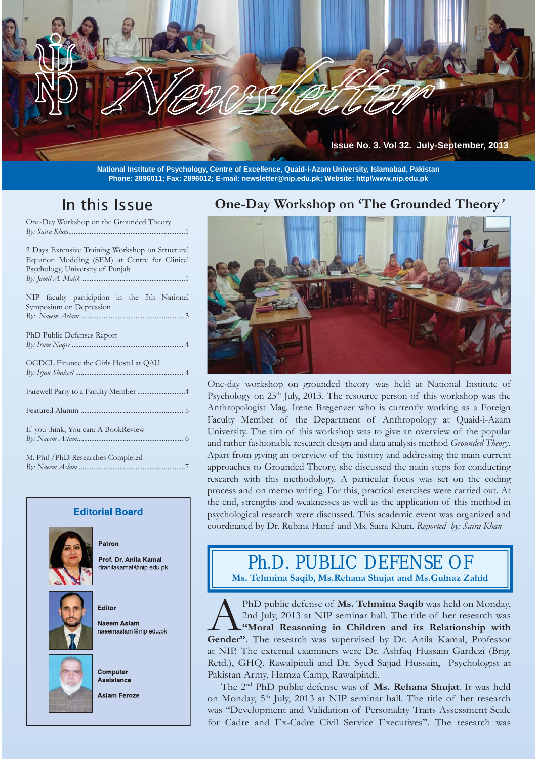**Issue No. 3. Vol 32. July-September, 2013**

**National Institute of Psychology, Centre of Excellence, Quaid-i-Azam University, Islamabad, Pakistan Phone: 2896011; Fax: 2896012; E-mail: newsletter@nip.edu.pk; Website: http\\www.nip.edu.pk**

## In this Issue

One-Day Workshop on the Grounded Theory **By: Saira Khan.............** 

| 2 Days Extensive Training Workshop on Structural<br>Equation Modeling (SEM) at Centre for Clinical<br>Psychology, University of Punjab |
|----------------------------------------------------------------------------------------------------------------------------------------|
| NIP faculty particiption in the 5th National<br>Symposium on Depression                                                                |
| PhD Public Defenses Report                                                                                                             |
| OGDCL Finance the Girls Hostel at QAU                                                                                                  |
|                                                                                                                                        |
|                                                                                                                                        |
| If you think, You can: A BookReview                                                                                                    |
| M. Phil / PhD Researches Completed                                                                                                     |

#### **Editorial Board**



**By: Naeem Aslam ...........** 

Patron

Prof. Dr. Anila Kamal dranilakamal@nip.edu.pk



Editor

Naeem Aslam naeemaslam@nip.edu.pk



Assistance

Computer

**Aslam Feroze** 

## **One-Day Workshop on 'The Grounded Theory***'*



One-day workshop on grounded theory was held at National Institute of Psychology on  $25<sup>th</sup>$  July, 2013. The resource person of this workshop was the Anthropologist Mag. Irene Bregenzer who is currently working as a Foreign Faculty Member of the Department of Anthropology at Quaid-i-Azam University. The aim of this workshop was to give an overview of the popular and rather fashionable research design and data analysis method *Grounded Theory*. Apart from giving an overview of the history and addressing the main current approaches to Grounded Theory, she discussed the main steps for conducting research with this methodology. A particular focus was set on the coding process and on memo writing. For this, practical exercises were carried out. At the end, strengths and weaknesses as well as the application of this method in psychological research were discussed. This academic event was organized and coordinated by Dr. Rubina Hanif and Ms. Saira Khan. *Reported by: Saira Khan*

## Ph.D. PUBLIC DEFENSE OF **Ms. Tehmina Saqib, Ms.Rehana Shujat and Ms.Gulnaz Zahid**

PhD public defense of **Ms. Tehmina Saqib** was held on Monday, 2nd July, 2013 at NIP seminar hall. The title of her research was **"Moral Reasoning in Children and its Relationship with Gender"**. The research was supervised 2nd July, 2013 at NIP seminar hall. The title of her research was **"Moral Reasoning in Children and its Relationship with**  Gender". The research was supervised by Dr. Anila Kamal, Professor at NIP. The external examiners were Dr. Ashfaq Hussain Gardezi (Brig. Retd.), GHQ, Rawalpindi and Dr. Syed Sajjad Hussain, Psychologist at Pakistan Army, Hamza Camp, Rawalpindi.

 The 2nd PhD public defense was of **Ms. Rehana Shujat**. It was held on Monday, 5<sup>th</sup> July, 2013 at NIP seminar hall. The title of her research was "Development and Validation of Personality Traits Assessment Scale for Cadre and Ex-Cadre Civil Service Executives''. The research was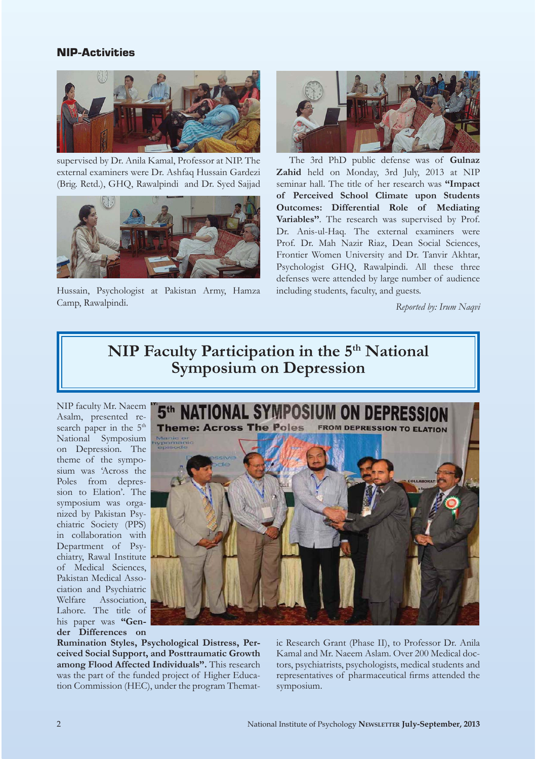#### **NIP-Activities**



supervised by Dr. Anila Kamal, Professor at NIP. The external examiners were Dr. Ashfaq Hussain Gardezi (Brig. Retd.), GHQ, Rawalpindi and Dr. Syed Sajjad



Hussain, Psychologist at Pakistan Army, Hamza Camp, Rawalpindi.



 The 3rd PhD public defense was of **Gulnaz Zahid** held on Monday, 3rd July, 2013 at NIP seminar hall. The title of her research was **"Impact of Perceived School Climate upon Students Outcomes: Differential Role of Mediating Variables''**. The research was supervised by Prof. Dr. Anis-ul-Haq. The external examiners were Prof. Dr. Mah Nazir Riaz, Dean Social Sciences, Frontier Women University and Dr. Tanvir Akhtar, Psychologist GHQ, Rawalpindi. All these three defenses were attended by large number of audience including students, faculty, and guests.

*Reported by: Irum Naqvi*

## **NIP Faculty Participation in the 5<sup>th</sup> National Symposium on Depression**

NIP faculty Mr. Naeem Asalm, presented research paper in the  $5<sup>th</sup>$ National Symposium on Depression. The theme of the symposium was 'Across the Poles from depression to Elation'. The symposium was organized by Pakistan Psychiatric Society (PPS) in collaboration with Department of Psychiatry, Rawal Institute of Medical Sciences, Pakistan Medical Association and Psychiatric Welfare Association, Lahore. The title of his paper was **"Gender Differences on** 



**Rumination Styles, Psychological Distress, Perceived Social Support, and Posttraumatic Growth among Flood Affected Individuals".** This research was the part of the funded project of Higher Education Commission (HEC), under the program Thematic Research Grant (Phase II), to Professor Dr. Anila Kamal and Mr. Naeem Aslam. Over 200 Medical doctors, psychiatrists, psychologists, medical students and representatives of pharmaceutical firms attended the symposium.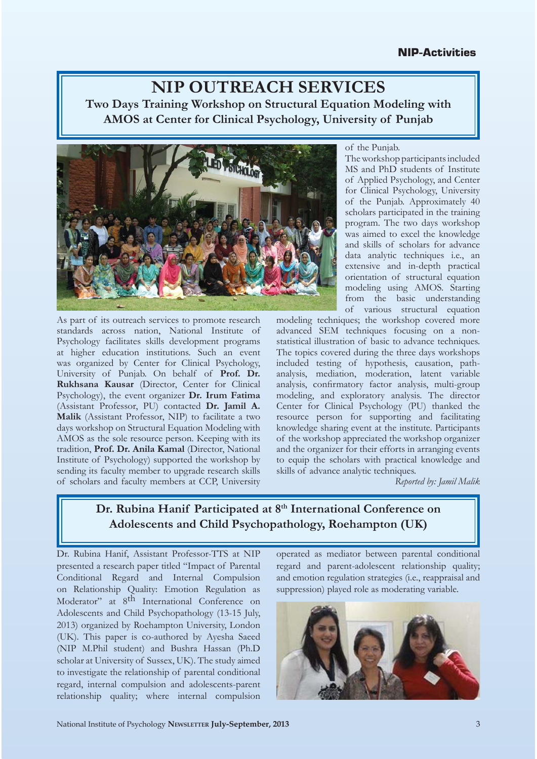## **NIP OUTREACH SERVICES Two Days Training Workshop on Structural Equation Modeling with AMOS at Center for Clinical Psychology, University of Punjab**



As part of its outreach services to promote research standards across nation, National Institute of Psychology facilitates skills development programs at higher education institutions. Such an event was organized by Center for Clinical Psychology, University of Punjab. On behalf of **Prof. Dr. Rukhsana Kausar** (Director, Center for Clinical Psychology), the event organizer **Dr. Irum Fatima** (Assistant Professor, PU) contacted **Dr. Jamil A. Malik** (Assistant Professor, NIP) to facilitate a two days workshop on Structural Equation Modeling with AMOS as the sole resource person. Keeping with its tradition, **Prof. Dr. Anila Kamal** (Director, National Institute of Psychology) supported the workshop by sending its faculty member to upgrade research skills of scholars and faculty members at CCP, University

of the Punjab.

The workshop participants included MS and PhD students of Institute of Applied Psychology, and Center for Clinical Psychology, University of the Punjab. Approximately 40 scholars participated in the training program. The two days workshop was aimed to excel the knowledge and skills of scholars for advance data analytic techniques i.e., an extensive and in-depth practical orientation of structural equation modeling using AMOS. Starting from the basic understanding of various structural equation

modeling techniques; the workshop covered more advanced SEM techniques focusing on a nonstatistical illustration of basic to advance techniques. The topics covered during the three days workshops included testing of hypothesis, causation, pathanalysis, mediation, moderation, latent variable analysis, confirmatory factor analysis, multi-group modeling, and exploratory analysis. The director Center for Clinical Psychology (PU) thanked the resource person for supporting and facilitating knowledge sharing event at the institute. Participants of the workshop appreciated the workshop organizer and the organizer for their efforts in arranging events to equip the scholars with practical knowledge and skills of advance analytic techniques.

*Reported by: Jamil Malik*

## Dr. Rubina Hanif Participated at 8<sup>th</sup> International Conference on **Adolescents and Child Psychopathology, Roehampton (UK)**

Dr. Rubina Hanif, Assistant Professor-TTS at NIP presented a research paper titled "Impact of Parental Conditional Regard and Internal Compulsion on Relationship Quality: Emotion Regulation as Moderator" at 8th International Conference on Adolescents and Child Psychopathology (13-15 July, 2013) organized by Roehampton University, London (UK). This paper is co-authored by Ayesha Saeed (NIP M.Phil student) and Bushra Hassan (Ph.D scholar at University of Sussex, UK). The study aimed to investigate the relationship of parental conditional regard, internal compulsion and adolescents-parent relationship quality; where internal compulsion

operated as mediator between parental conditional regard and parent-adolescent relationship quality; and emotion regulation strategies (i.e., reappraisal and suppression) played role as moderating variable.

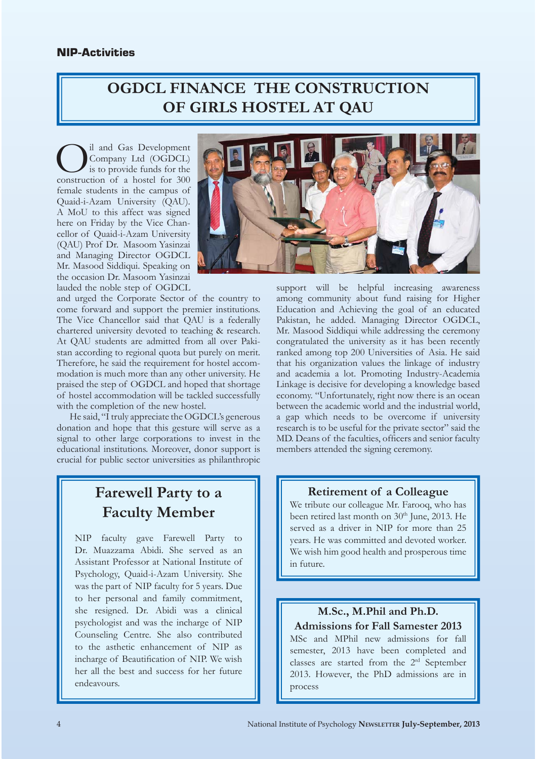# **OGDCL FINANCE THE CONSTRUCTION OF GIRLS HOSTEL AT QAU**

O il and Gas Development construction of a hostel for 300 Company Ltd (OGDCL) is to provide funds for the female students in the campus of Quaid-i-Azam University (QAU). A MoU to this affect was signed here on Friday by the Vice Chancellor of Quaid-i-Azam University (QAU) Prof Dr. Masoom Yasinzai and Managing Director OGDCL Mr. Masood Siddiqui. Speaking on the occasion Dr. Masoom Yasinzai lauded the noble step of OGDCL

and urged the Corporate Sector of the country to come forward and support the premier institutions. The Vice Chancellor said that QAU is a federally chartered university devoted to teaching & research. At QAU students are admitted from all over Pakistan according to regional quota but purely on merit. Therefore, he said the requirement for hostel accommodation is much more than any other university. He praised the step of OGDCL and hoped that shortage of hostel accommodation will be tackled successfully with the completion of the new hostel.

 He said, "I truly appreciate the OGDCL's generous donation and hope that this gesture will serve as a signal to other large corporations to invest in the educational institutions. Moreover, donor support is crucial for public sector universities as philanthropic

## **Farewell Party to a Faculty Member**

NIP faculty gave Farewell Party to Dr. Muazzama Abidi. She served as an Assistant Professor at National Institute of Psychology, Quaid-i-Azam University. She was the part of NIP faculty for 5 years. Due to her personal and family commitment, she resigned. Dr. Abidi was a clinical psychologist and was the incharge of NIP Counseling Centre. She also contributed to the asthetic enhancement of NIP as incharge of Beautification of NIP. We wish her all the best and success for her future endeavours.



support will be helpful increasing awareness among community about fund raising for Higher Education and Achieving the goal of an educated Pakistan, he added. Managing Director OGDCL, Mr. Masood Siddiqui while addressing the ceremony congratulated the university as it has been recently ranked among top 200 Universities of Asia. He said that his organization values the linkage of industry and academia a lot. Promoting Industry-Academia Linkage is decisive for developing a knowledge based economy. "Unfortunately, right now there is an ocean between the academic world and the industrial world, a gap which needs to be overcome if university research is to be useful for the private sector" said the MD. Deans of the faculties, officers and senior faculty members attended the signing ceremony.

#### **Retirement of a Colleague**

We tribute our colleague Mr. Farooq, who has been retired last month on  $30<sup>th</sup>$  June, 2013. He served as a driver in NIP for more than 25 years. He was committed and devoted worker. We wish him good health and prosperous time in future.

#### **M.Sc., M.Phil and Ph.D. Admissions for Fall Samester 2013**

MSc and MPhil new admissions for fall semester, 2013 have been completed and classes are started from the 2rd September 2013. However, the PhD admissions are in process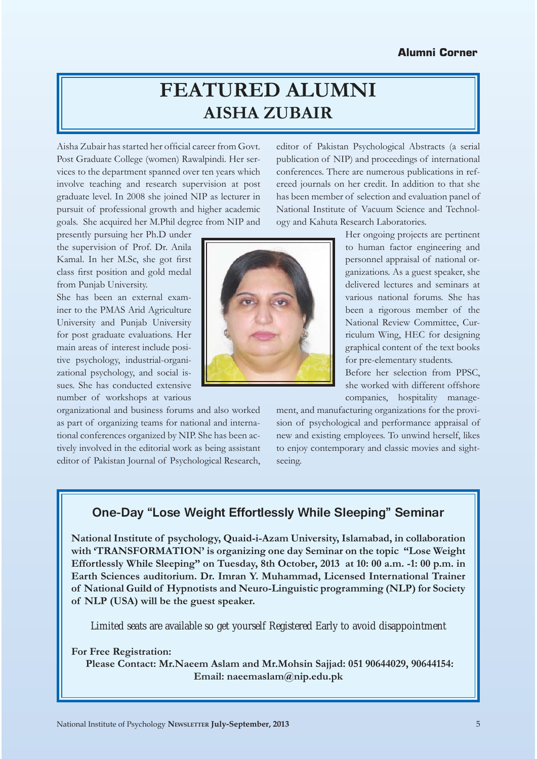# **FEATURED ALUMNI AISHA ZUBAIR**

Aisha Zubair has started her official career from Govt. Post Graduate College (women) Rawalpindi. Her services to the department spanned over ten years which involve teaching and research supervision at post graduate level. In 2008 she joined NIP as lecturer in pursuit of professional growth and higher academic goals. She acquired her M.Phil degree from NIP and

presently pursuing her Ph.D under the supervision of Prof. Dr. Anila Kamal. In her M.Sc, she got first class first position and gold medal from Punjab University.

She has been an external examiner to the PMAS Arid Agriculture University and Punjab University for post graduate evaluations. Her main areas of interest include positive psychology, industrial-organizational psychology, and social issues. She has conducted extensive number of workshops at various

organizational and business forums and also worked as part of organizing teams for national and international conferences organized by NIP. She has been actively involved in the editorial work as being assistant editor of Pakistan Journal of Psychological Research,

publication of NIP) and proceedings of international conferences. There are numerous publications in refereed journals on her credit. In addition to that she has been member of selection and evaluation panel of National Institute of Vacuum Science and Technology and Kahuta Research Laboratories. Her ongoing projects are pertinent

editor of Pakistan Psychological Abstracts (a serial

to human factor engineering and personnel appraisal of national organizations. As a guest speaker, she delivered lectures and seminars at various national forums. She has been a rigorous member of the National Review Committee, Curriculum Wing, HEC for designing graphical content of the text books for pre-elementary students.

Before her selection from PPSC, she worked with different offshore companies, hospitality manage-

ment, and manufacturing organizations for the provision of psychological and performance appraisal of new and existing employees. To unwind herself, likes to enjoy contemporary and classic movies and sightseeing.

## **One-Day "Lose Weight Effortlessly While Sleeping" Seminar**

**National Institute of psychology, Quaid-i-Azam University, Islamabad, in collaboration with 'TRANSFORMATION' is organizing one day Seminar on the topic "Lose Weight Effortlessly While Sleeping" on Tuesday, 8th October, 2013 at 10: 00 a.m. -1: 00 p.m. in Earth Sciences auditorium. Dr. Imran Y. Muhammad, Licensed International Trainer of National Guild of Hypnotists and Neuro-Linguistic programming (NLP) for Society of NLP (USA) will be the guest speaker.** 

Limited seats are available so get yourself Registered Early to avoid disappointment

#### **For Free Registration:**

 **Please Contact: Mr.Naeem Aslam and Mr.Mohsin Sajjad: 051 90644029, 90644154: Email: naeemaslam@nip.edu.pk**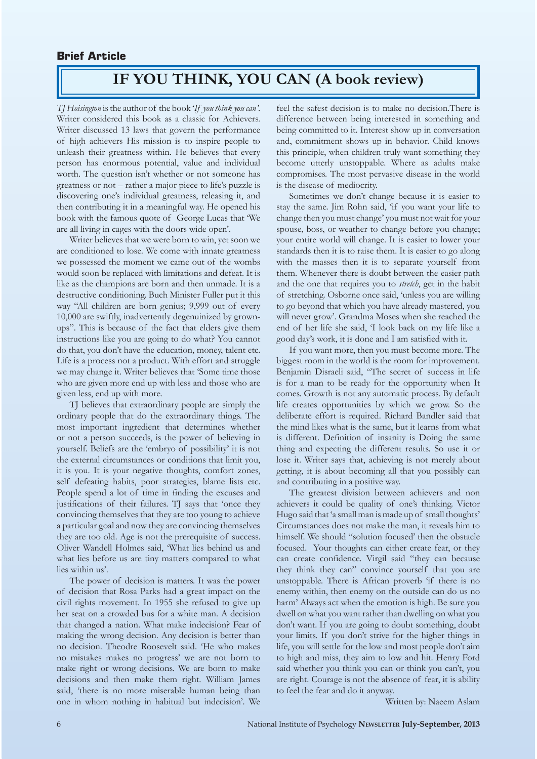#### **Brief Article**

# **IF YOU THINK, YOU CAN (A book review)**

*TJ Hoisington* is the author of the book '*If you think you can'*. Writer considered this book as a classic for Achievers. Writer discussed 13 laws that govern the performance of high achievers His mission is to inspire people to unleash their greatness within. He believes that every person has enormous potential, value and individual worth. The question isn't whether or not someone has greatness or not – rather a major piece to life's puzzle is discovering one's individual greatness, releasing it, and then contributing it in a meaningful way. He opened his book with the famous quote of George Lucas that 'We are all living in cages with the doors wide open'.

 Writer believes that we were born to win, yet soon we are conditioned to lose. We come with innate greatness we possessed the moment we came out of the wombs would soon be replaced with limitations and defeat. It is like as the champions are born and then unmade. It is a destructive conditioning. Buch Minister Fuller put it this way "All children are born genius; 9,999 out of every 10,000 are swiftly, inadvertently degenuinized by grownups". This is because of the fact that elders give them instructions like you are going to do what? You cannot do that, you don't have the education, money, talent etc. Life is a process not a product. With effort and struggle we may change it. Writer believes that 'Some time those who are given more end up with less and those who are given less, end up with more.

 TJ believes that extraordinary people are simply the ordinary people that do the extraordinary things. The most important ingredient that determines whether or not a person succeeds, is the power of believing in yourself. Beliefs are the 'embryo of possibility' it is not the external circumstances or conditions that limit you, it is you. It is your negative thoughts, comfort zones, self defeating habits, poor strategies, blame lists etc. People spend a lot of time in finding the excuses and justifications of their failures. TJ says that 'once they convincing themselves that they are too young to achieve a particular goal and now they are convincing themselves they are too old. Age is not the prerequisite of success. Oliver Wandell Holmes said, 'What lies behind us and what lies before us are tiny matters compared to what lies within us'.

 The power of decision is matters. It was the power of decision that Rosa Parks had a great impact on the civil rights movement. In 1955 she refused to give up her seat on a crowded bus for a white man. A decision that changed a nation. What make indecision? Fear of making the wrong decision. Any decision is better than no decision. Theodre Roosevelt said. 'He who makes no mistakes makes no progress' we are not born to make right or wrong decisions. We are born to make decisions and then make them right. William James said, 'there is no more miserable human being than one in whom nothing in habitual but indecision'. We

feel the safest decision is to make no decision.There is difference between being interested in something and being committed to it. Interest show up in conversation and, commitment shows up in behavior. Child knows this principle, when children truly want something they become utterly unstoppable. Where as adults make compromises. The most pervasive disease in the world is the disease of mediocrity.

 Sometimes we don't change because it is easier to stay the same. Jim Rohn said, 'if you want your life to change then you must change' you must not wait for your spouse, boss, or weather to change before you change; your entire world will change. It is easier to lower your standards then it is to raise them. It is easier to go along with the masses then it is to separate yourself from them. Whenever there is doubt between the easier path and the one that requires you to *stretch*, get in the habit of stretching. Osborne once said, 'unless you are willing to go beyond that which you have already mastered, you will never grow'. Grandma Moses when she reached the end of her life she said, 'I look back on my life like a good day's work, it is done and I am satisfied with it.

 If you want more, then you must become more. The biggest room in the world is the room for improvement. Benjamin Disraeli said, "The secret of success in life is for a man to be ready for the opportunity when It comes. Growth is not any automatic process. By default life creates opportunities by which we grow. So the deliberate effort is required. Richard Bandler said that the mind likes what is the same, but it learns from what is different. Definition of insanity is Doing the same thing and expecting the different results. So use it or lose it. Writer says that, achieving is not merely about getting, it is about becoming all that you possibly can and contributing in a positive way.

 The greatest division between achievers and non achievers it could be quality of one's thinking. Victor Hugo said that 'a small man is made up of small thoughts' Circumstances does not make the man, it reveals him to himself. We should "solution focused' then the obstacle focused. Your thoughts can either create fear, or they can create confidence. Virgil said "they can because they think they can" convince yourself that you are unstoppable. There is African proverb 'if there is no enemy within, then enemy on the outside can do us no harm' Always act when the emotion is high. Be sure you dwell on what you want rather than dwelling on what you don't want. If you are going to doubt something, doubt your limits. If you don't strive for the higher things in life, you will settle for the low and most people don't aim to high and miss, they aim to low and hit. Henry Ford said whether you think you can or think you can't, you are right. Courage is not the absence of fear, it is ability to feel the fear and do it anyway.

Written by: Naeem Aslam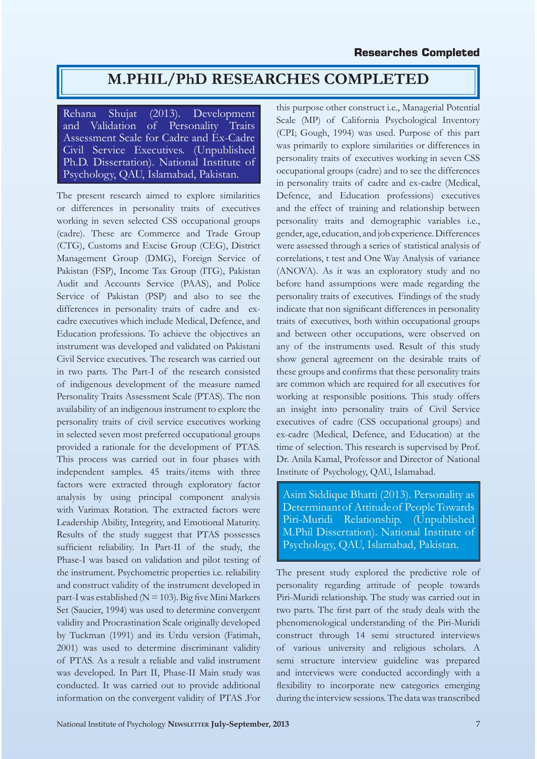## **M.PHIL/PhD RESEARCHES COMPLETED**

Rehana Shujat (2013). Development<br>and Validation of Personality Traits and Validation of Personality Traits Assessment Scale for Cadre and Ex-Cadre Civil Service Executives. (Unpublished Ph.D. Dissertation). National Institute of Psychology, QAU, Islamabad, Pakistan.

The present research aimed to explore similarities or differences in personality traits of executives working in seven selected CSS occupational groups (cadre). These are Commerce and Trade Group (CTG), Customs and Excise Group (CEG), District Management Group (DMG), Foreign Service of Pakistan (FSP), Income Tax Group (ITG), Pakistan Audit and Accounts Service (PAAS), and Police Service of Pakistan (PSP) and also to see the differences in personality traits of cadre and excadre executives which include Medical, Defence, and Education professions. To achieve the objectives an instrument was developed and validated on Pakistani Civil Service executives. The research was carried out in two parts. The Part-I of the research consisted of indigenous development of the measure named Personality Traits Assessment Scale (PTAS). The non availability of an indigenous instrument to explore the personality traits of civil service executives working in selected seven most preferred occupational groups provided a rationale for the development of PTAS. This process was carried out in four phases with independent samples. 45 traits/items with three factors were extracted through exploratory factor analysis by using principal component analysis with Varimax Rotation. The extracted factors were Leadership Ability, Integrity, and Emotional Maturity. Results of the study suggest that PTAS possesses sufficient reliability. In Part-II of the study, the Phase-I was based on validation and pilot testing of the instrument. Psychometric properties i.e. reliability and construct validity of the instrument developed in part-I was established ( $N = 103$ ). Big five Mini Markers Set (Saucier, 1994) was used to determine convergent validity and Procrastination Scale originally developed by Tuckman (1991) and its Urdu version (Fatimah, 2001) was used to determine discriminant validity of PTAS. As a result a reliable and valid instrument was developed. In Part II, Phase-II Main study was conducted. It was carried out to provide additional information on the convergent validity of PTAS .For

this purpose other construct i.e., Managerial Potential Scale (MP) of California Psychological Inventory (CPI; Gough, 1994) was used. Purpose of this part was primarily to explore similarities or differences in personality traits of executives working in seven CSS occupational groups (cadre) and to see the differences in personality traits of cadre and ex-cadre (Medical, Defence, and Education professions) executives and the effect of training and relationship between personality traits and demographic variables i.e., gender, age, education, and job experience. Differences were assessed through a series of statistical analysis of correlations, t test and One Way Analysis of variance (ANOVA). As it was an exploratory study and no before hand assumptions were made regarding the personality traits of executives. Findings of the study indicate that non significant differences in personality traits of executives, both within occupational groups and between other occupations, were observed on any of the instruments used. Result of this study show general agreement on the desirable traits of these groups and confirms that these personality traits are common which are required for all executives for working at responsible positions. This study offers an insight into personality traits of Civil Service executives of cadre (CSS occupational groups) and ex-cadre (Medical, Defence, and Education) at the time of selection. This research is supervised by Prof. Dr. Anila Kamal, Professor and Director of National Institute of Psychology, QAU, Islamabad.

Asim Siddique Bhatti (2013). Personality as Determinant of Attitude of People Towards Piri-Muridi Relationship. (Unpublished M.Phil Dissertation). National Institute of Psychology, QAU, Islamabad, Pakistan.

The present study explored the predictive role of personality regarding attitude of people towards Piri-Muridi relationship. The study was carried out in two parts. The first part of the study deals with the phenomenological understanding of the Piri-Muridi construct through 14 semi structured interviews of various university and religious scholars. A semi structure interview guideline was prepared and interviews were conducted accordingly with a flexibility to incorporate new categories emerging during the interview sessions. The data was transcribed